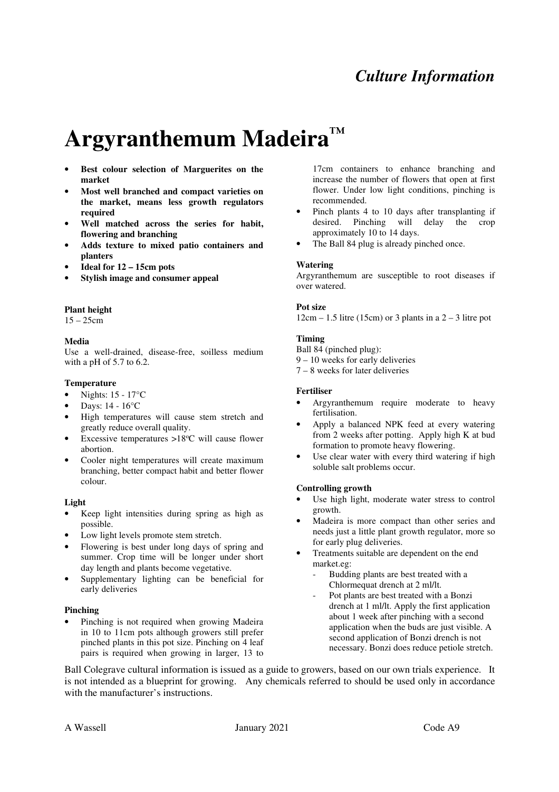# *Culture Information*

# **Argyranthemum Madeira™**

- **Best colour selection of Marguerites on the market**
- **Most well branched and compact varieties on the market, means less growth regulators required**
- **Well matched across the series for habit, flowering and branching**
- **Adds texture to mixed patio containers and planters**
- **Ideal for 12 15cm pots**
- **Stylish image and consumer appeal**

#### **Plant height**

15 – 25cm

#### **Media**

Use a well-drained, disease-free, soilless medium with a pH of 5.7 to 6.2.

#### **Temperature**

- Nights: 15 17°C
- Days: 14 16°C
- High temperatures will cause stem stretch and greatly reduce overall quality.
- Excessive temperatures  $>18^{\circ}$ C will cause flower abortion.
- Cooler night temperatures will create maximum branching, better compact habit and better flower colour.

# **Light**

- Keep light intensities during spring as high as possible.
- Low light levels promote stem stretch.
- Flowering is best under long days of spring and summer. Crop time will be longer under short day length and plants become vegetative.
- Supplementary lighting can be beneficial for early deliveries

# **Pinching**

• Pinching is not required when growing Madeira in 10 to 11cm pots although growers still prefer pinched plants in this pot size. Pinching on 4 leaf pairs is required when growing in larger, 13 to

17cm containers to enhance branching and increase the number of flowers that open at first flower. Under low light conditions, pinching is recommended.

- Pinch plants 4 to 10 days after transplanting if desired. Pinching will delay the crop approximately 10 to 14 days.
- The Ball 84 plug is already pinched once.

#### **Watering**

Argyranthemum are susceptible to root diseases if over watered.

#### **Pot size**

 $12cm - 1.5$  litre (15cm) or 3 plants in a  $2 - 3$  litre pot

# **Timing**

Ball 84 (pinched plug):

- 9 10 weeks for early deliveries
- 7 8 weeks for later deliveries

#### **Fertiliser**

- Argyranthemum require moderate to heavy fertilisation.
- Apply a balanced NPK feed at every watering from 2 weeks after potting. Apply high K at bud formation to promote heavy flowering.
- Use clear water with every third watering if high soluble salt problems occur.

# **Controlling growth**

- Use high light, moderate water stress to control growth.
- Madeira is more compact than other series and needs just a little plant growth regulator, more so for early plug deliveries.
- Treatments suitable are dependent on the end market.eg:
	- Budding plants are best treated with a Chlormequat drench at 2 ml/lt.
	- Pot plants are best treated with a Bonzi drench at 1 ml/lt. Apply the first application about 1 week after pinching with a second application when the buds are just visible. A second application of Bonzi drench is not necessary. Bonzi does reduce petiole stretch.

Ball Colegrave cultural information is issued as a guide to growers, based on our own trials experience. It is not intended as a blueprint for growing. Any chemicals referred to should be used only in accordance with the manufacturer's instructions.